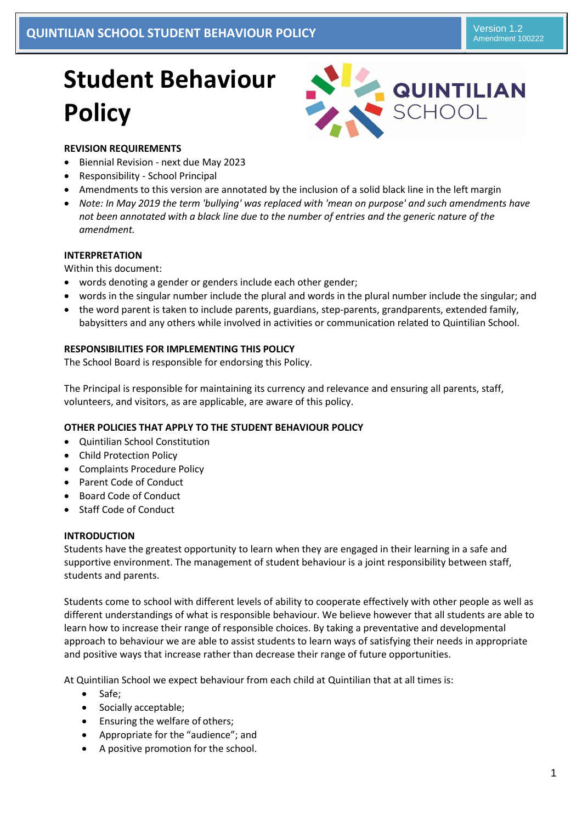# **Student Behaviour Policy**



# **REVISION REQUIREMENTS**

- Biennial Revision next due May 2023
- Responsibility School Principal
- Amendments to this version are annotated by the inclusion of a solid black line in the left margin
- *Note: In May 2019 the term 'bullying' was replaced with 'mean on purpose' and such amendments have not been annotated with a black line due to the number of entries and the generic nature of the amendment.*

## **INTERPRETATION**

Within this document:

- words denoting a gender or genders include each other gender;
- words in the singular number include the plural and words in the plural number include the singular; and
- the word parent is taken to include parents, guardians, step-parents, grandparents, extended family, babysitters and any others while involved in activities or communication related to Quintilian School.

## **RESPONSIBILITIES FOR IMPLEMENTING THIS POLICY**

The School Board is responsible for endorsing this Policy.

The Principal is responsible for maintaining its currency and relevance and ensuring all parents, staff, volunteers, and visitors, as are applicable, are aware of this policy.

## **OTHER POLICIES THAT APPLY TO THE STUDENT BEHAVIOUR POLICY**

- Quintilian School Constitution
- Child Protection Policy
- Complaints Procedure Policy
- Parent Code of Conduct
- Board Code of Conduct
- Staff Code of Conduct

## **INTRODUCTION**

Students have the greatest opportunity to learn when they are engaged in their learning in a safe and supportive environment. The management of student behaviour is a joint responsibility between staff, students and parents.

Students come to school with different levels of ability to cooperate effectively with other people as well as different understandings of what is responsible behaviour. We believe however that all students are able to learn how to increase their range of responsible choices. By taking a preventative and developmental approach to behaviour we are able to assist students to learn ways of satisfying their needs in appropriate and positive ways that increase rather than decrease their range of future opportunities.

At Quintilian School we expect behaviour from each child at Quintilian that at all times is:

- Safe;
- Socially acceptable;
- Ensuring the welfare of others;
- Appropriate for the "audience"; and
- A positive promotion for the school.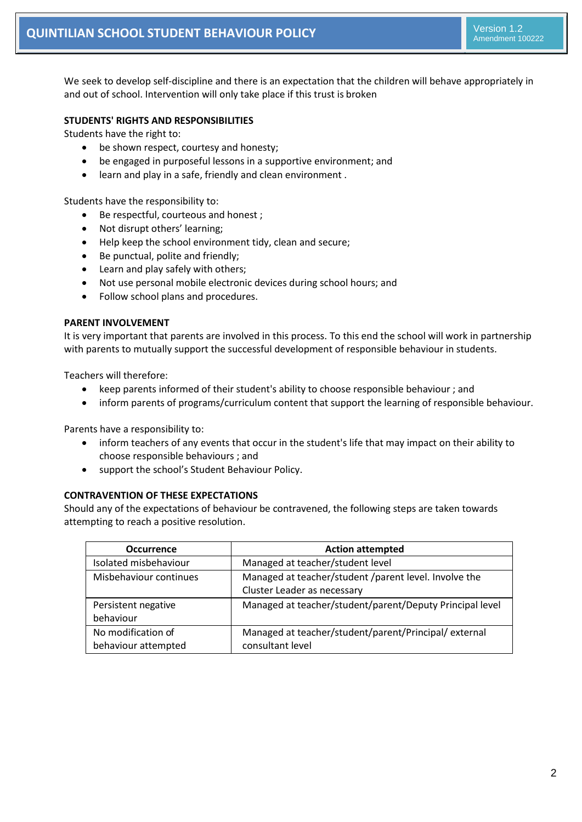We seek to develop self-discipline and there is an expectation that the children will behave appropriately in and out of school. Intervention will only take place if this trust is broken

## **STUDENTS' RIGHTS AND RESPONSIBILITIES**

Students have the right to:

- be shown respect, courtesy and honesty;
- be engaged in purposeful lessons in a supportive environment; and
- learn and play in a safe, friendly and clean environment .

Students have the responsibility to:

- Be respectful, courteous and honest;
- Not disrupt others' learning;
- Help keep the school environment tidy, clean and secure;
- Be punctual, polite and friendly;
- Learn and play safely with others;
- Not use personal mobile electronic devices during school hours; and
- Follow school plans and procedures.

## **PARENT INVOLVEMENT**

It is very important that parents are involved in this process. To this end the school will work in partnership with parents to mutually support the successful development of responsible behaviour in students.

Teachers will therefore:

- keep parents informed of their student's ability to choose responsible behaviour ; and
- inform parents of programs/curriculum content that support the learning of responsible behaviour.

Parents have a responsibility to:

- inform teachers of any events that occur in the student's life that may impact on their ability to choose responsible behaviours ; and
- support the school's Student Behaviour Policy.

## **CONTRAVENTION OF THESE EXPECTATIONS**

Should any of the expectations of behaviour be contravened, the following steps are taken towards attempting to reach a positive resolution.

| <b>Occurrence</b>      | <b>Action attempted</b>                                  |  |
|------------------------|----------------------------------------------------------|--|
| Isolated misbehaviour  | Managed at teacher/student level                         |  |
| Misbehaviour continues | Managed at teacher/student /parent level. Involve the    |  |
|                        | Cluster Leader as necessary                              |  |
| Persistent negative    | Managed at teacher/student/parent/Deputy Principal level |  |
| behaviour              |                                                          |  |
| No modification of     | Managed at teacher/student/parent/Principal/external     |  |
| behaviour attempted    | consultant level                                         |  |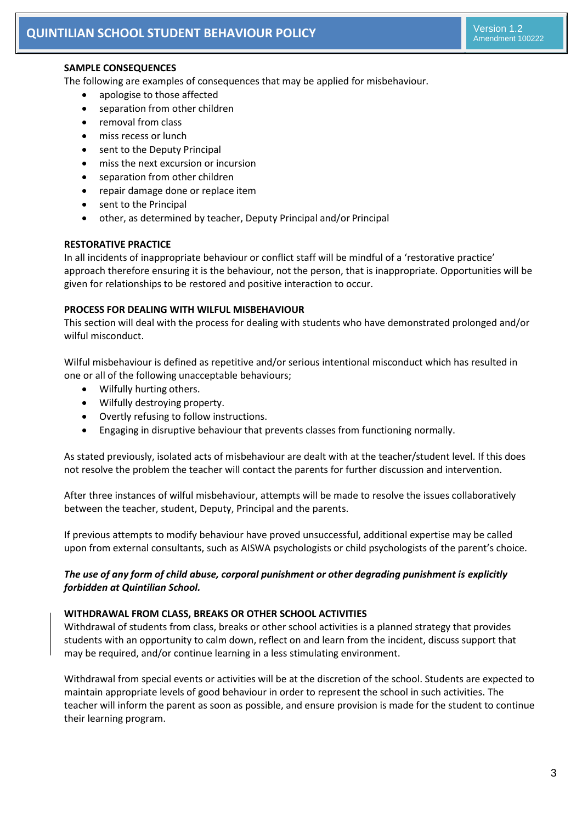# **SAMPLE CONSEQUENCES**

The following are examples of consequences that may be applied for misbehaviour.

- apologise to those affected
- separation from other children
- removal from class
- miss recess or lunch
- sent to the Deputy Principal
- miss the next excursion or incursion
- separation from other children
- repair damage done or replace item
- sent to the Principal
- other, as determined by teacher, Deputy Principal and/or Principal

## **RESTORATIVE PRACTICE**

In all incidents of inappropriate behaviour or conflict staff will be mindful of a 'restorative practice' approach therefore ensuring it is the behaviour, not the person, that is inappropriate. Opportunities will be given for relationships to be restored and positive interaction to occur.

## **PROCESS FOR DEALING WITH WILFUL MISBEHAVIOUR**

This section will deal with the process for dealing with students who have demonstrated prolonged and/or wilful misconduct.

Wilful misbehaviour is defined as repetitive and/or serious intentional misconduct which has resulted in one or all of the following unacceptable behaviours;

- Wilfully hurting others.
- Wilfully destroying property.
- Overtly refusing to follow instructions.
- Engaging in disruptive behaviour that prevents classes from functioning normally.

As stated previously, isolated acts of misbehaviour are dealt with at the teacher/student level. If this does not resolve the problem the teacher will contact the parents for further discussion and intervention.

After three instances of wilful misbehaviour, attempts will be made to resolve the issues collaboratively between the teacher, student, Deputy, Principal and the parents.

If previous attempts to modify behaviour have proved unsuccessful, additional expertise may be called upon from external consultants, such as AISWA psychologists or child psychologists of the parent's choice.

# *The use of any form of child abuse, corporal punishment or other degrading punishment is explicitly forbidden at Quintilian School.*

## **WITHDRAWAL FROM CLASS, BREAKS OR OTHER SCHOOL ACTIVITIES**

Withdrawal of students from class, breaks or other school activities is a planned strategy that provides students with an opportunity to calm down, reflect on and learn from the incident, discuss support that may be required, and/or continue learning in a less stimulating environment.

Withdrawal from special events or activities will be at the discretion of the school. Students are expected to maintain appropriate levels of good behaviour in order to represent the school in such activities. The teacher will inform the parent as soon as possible, and ensure provision is made for the student to continue their learning program.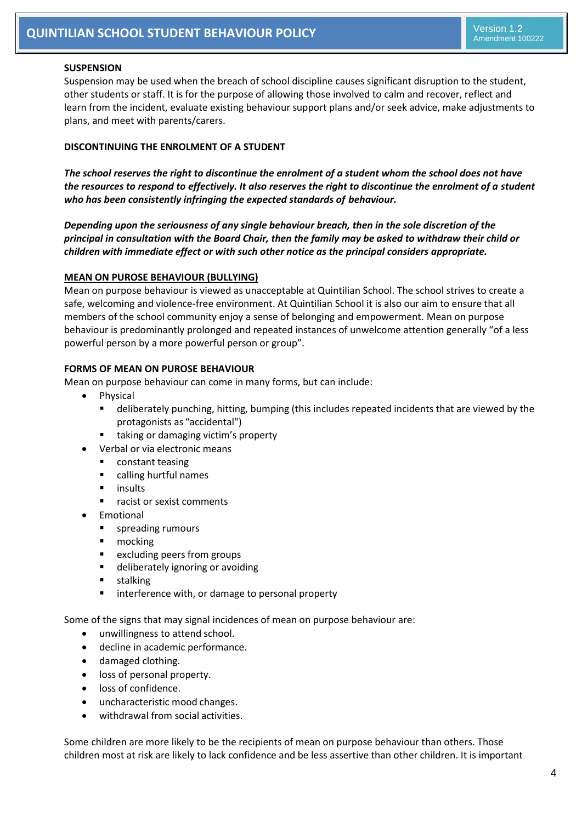#### **SUSPENSION**

Suspension may be used when the breach of school discipline causes significant disruption to the student, other students or staff. It is for the purpose of allowing those involved to calm and recover, reflect and learn from the incident, evaluate existing behaviour support plans and/or seek advice, make adjustments to plans, and meet with parents/carers.

#### **DISCONTINUING THE ENROLMENT OF A STUDENT**

*The school reserves the right to discontinue the enrolment of a student whom the school does not have the resources to respond to effectively. It also reserves the right to discontinue the enrolment of a student who has been consistently infringing the expected standards of behaviour.*

*Depending upon the seriousness of any single behaviour breach, then in the sole discretion of the principal in consultation with the Board Chair, then the family may be asked to withdraw their child or children with immediate effect or with such other notice as the principal considers appropriate.*

#### **MEAN ON PUROSE BEHAVIOUR (BULLYING)**

Mean on purpose behaviour is viewed as unacceptable at Quintilian School. The school strives to create a safe, welcoming and violence-free environment. At Quintilian School it is also our aim to ensure that all members of the school community enjoy a sense of belonging and empowerment. Mean on purpose behaviour is predominantly prolonged and repeated instances of unwelcome attention generally "of a less powerful person by a more powerful person or group".

#### **FORMS OF MEAN ON PUROSE BEHAVIOUR**

Mean on purpose behaviour can come in many forms, but can include:

- Physical
	- deliberately punching, hitting, bumping (this includes repeated incidents that are viewed by the protagonists as "accidental")
	- taking or damaging victim's property
- Verbal or via electronic means
	- **EXECONSTANT CONSTANTS**
	- calling hurtful names
	- insults
	- **F** racist or sexist comments
- Emotional
	- **spreading rumours**
	- **n**ocking
	- **EXA** excluding peers from groups
	- **deliberately ignoring or avoiding**
	- **stalking**
	- **EXTED interference with, or damage to personal property**

Some of the signs that may signal incidences of mean on purpose behaviour are:

- unwillingness to attend school.
- decline in academic performance.
- damaged clothing.
- loss of personal property.
- loss of confidence.
- uncharacteristic mood changes.
- withdrawal from social activities.

Some children are more likely to be the recipients of mean on purpose behaviour than others. Those children most at risk are likely to lack confidence and be less assertive than other children. It is important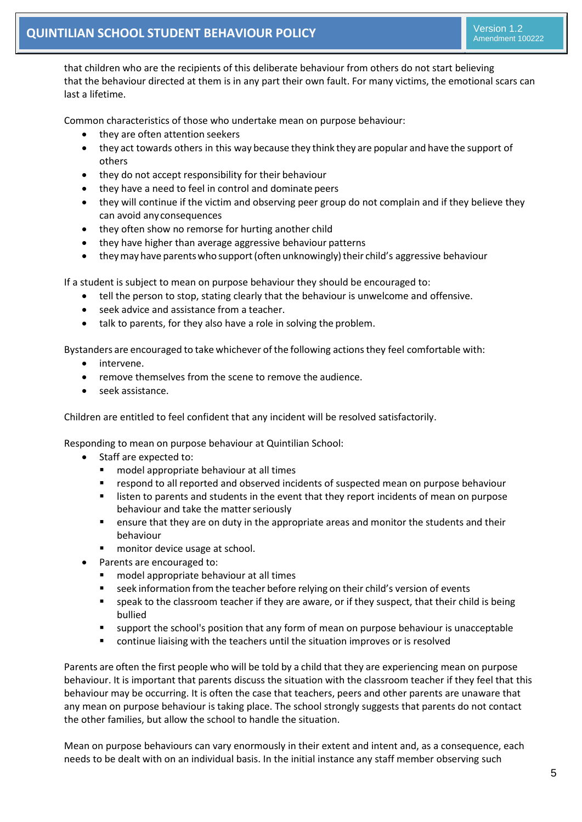that children who are the recipients of this deliberate behaviour from others do not start believing that the behaviour directed at them is in any part their own fault. For many victims, the emotional scars can last a lifetime.

Common characteristics of those who undertake mean on purpose behaviour:

- they are often attention seekers
- they act towards others in this way because they think they are popular and have the support of others
- they do not accept responsibility for their behaviour
- they have a need to feel in control and dominate peers
- they will continue if the victim and observing peer group do not complain and if they believe they can avoid anyconsequences
- they often show no remorse for hurting another child
- they have higher than average aggressive behaviour patterns
- they may have parents who support (often unknowingly) their child's aggressive behaviour

If a student is subject to mean on purpose behaviour they should be encouraged to:

- tell the person to stop, stating clearly that the behaviour is unwelcome and offensive.
- seek advice and assistance from a teacher.
- talk to parents, for they also have a role in solving the problem.

Bystanders are encouraged to take whichever of the following actionsthey feel comfortable with:

- intervene.
- remove themselves from the scene to remove the audience.
- seek assistance.

Children are entitled to feel confident that any incident will be resolved satisfactorily.

Responding to mean on purpose behaviour at Quintilian School:

- Staff are expected to:
	- model appropriate behaviour at all times
	- respond to all reported and observed incidents of suspected mean on purpose behaviour
	- listen to parents and students in the event that they report incidents of mean on purpose behaviour and take the matter seriously
	- ensure that they are on duty in the appropriate areas and monitor the students and their behaviour
	- monitor device usage at school.
- Parents are encouraged to:
	- model appropriate behaviour at all times
	- **EXECT** seek information from the teacher before relying on their child's version of events
	- speak to the classroom teacher if they are aware, or if they suspect, that their child is being bullied
	- support the school's position that any form of mean on purpose behaviour is unacceptable
	- continue liaising with the teachers until the situation improves or is resolved

Parents are often the first people who will be told by a child that they are experiencing mean on purpose behaviour. It is important that parents discuss the situation with the classroom teacher if they feel that this behaviour may be occurring. It is often the case that teachers, peers and other parents are unaware that any mean on purpose behaviour is taking place. The school strongly suggests that parents do not contact the other families, but allow the school to handle the situation.

Mean on purpose behaviours can vary enormously in their extent and intent and, as a consequence, each needs to be dealt with on an individual basis. In the initial instance any staff member observing such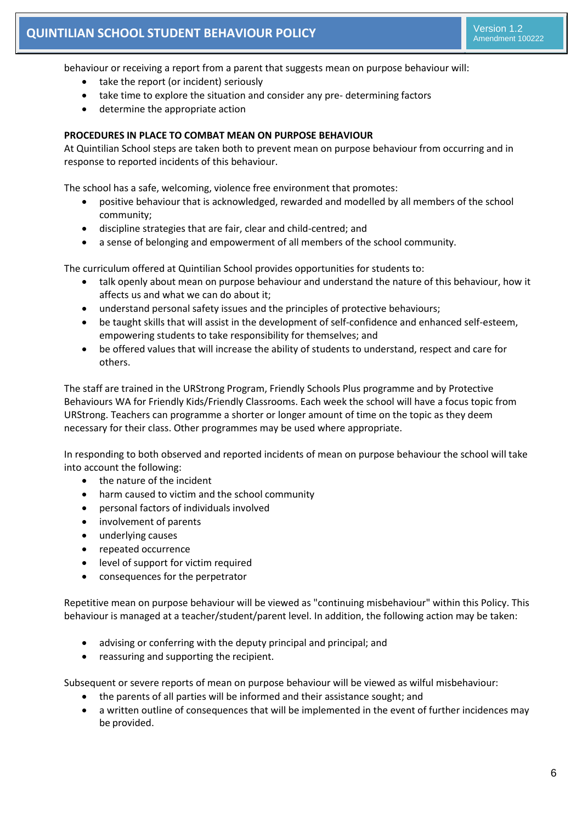behaviour or receiving a report from a parent that suggests mean on purpose behaviour will:

- take the report (or incident) seriously
- take time to explore the situation and consider any pre- determining factors
- determine the appropriate action

# **PROCEDURES IN PLACE TO COMBAT MEAN ON PURPOSE BEHAVIOUR**

At Quintilian School steps are taken both to prevent mean on purpose behaviour from occurring and in response to reported incidents of this behaviour.

The school has a safe, welcoming, violence free environment that promotes:

- positive behaviour that is acknowledged, rewarded and modelled by all members of the school community;
- discipline strategies that are fair, clear and child-centred; and
- a sense of belonging and empowerment of all members of the school community.

The curriculum offered at Quintilian School provides opportunities for students to:

- talk openly about mean on purpose behaviour and understand the nature of this behaviour, how it affects us and what we can do about it;
- understand personal safety issues and the principles of protective behaviours;
- be taught skills that will assist in the development of self-confidence and enhanced self-esteem, empowering students to take responsibility for themselves; and
- be offered values that will increase the ability of students to understand, respect and care for others.

The staff are trained in the URStrong Program, Friendly Schools Plus programme and by Protective Behaviours WA for Friendly Kids/Friendly Classrooms. Each week the school will have a focus topic from URStrong. Teachers can programme a shorter or longer amount of time on the topic as they deem necessary for their class. Other programmes may be used where appropriate.

In responding to both observed and reported incidents of mean on purpose behaviour the school will take into account the following:

- the nature of the incident
- harm caused to victim and the school community
- personal factors of individuals involved
- involvement of parents
- underlying causes
- repeated occurrence
- level of support for victim required
- consequences for the perpetrator

Repetitive mean on purpose behaviour will be viewed as "continuing misbehaviour" within this Policy. This behaviour is managed at a teacher/student/parent level. In addition, the following action may be taken:

- advising or conferring with the deputy principal and principal; and
- reassuring and supporting the recipient.

Subsequent or severe reports of mean on purpose behaviour will be viewed as wilful misbehaviour:

- the parents of all parties will be informed and their assistance sought; and
- a written outline of consequences that will be implemented in the event of further incidences may be provided.